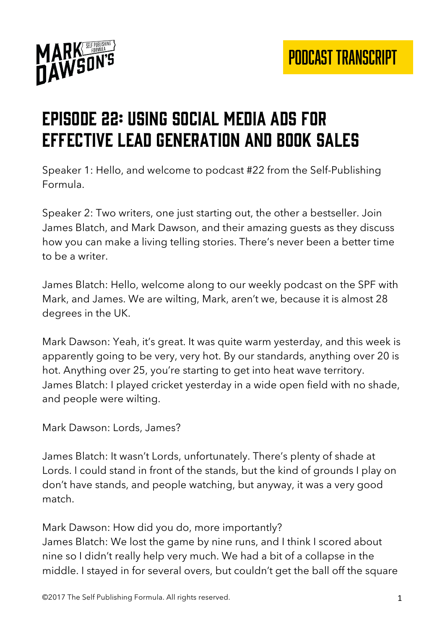

# Episode 22: using social media ads for effective lead generation and book sales

Speaker 1: Hello, and welcome to podcast #22 from the Self-Publishing Formula.

Speaker 2: Two writers, one just starting out, the other a bestseller. Join James Blatch, and Mark Dawson, and their amazing guests as they discuss how you can make a living telling stories. There's never been a better time to be a writer.

James Blatch: Hello, welcome along to our weekly podcast on the SPF with Mark, and James. We are wilting, Mark, aren't we, because it is almost 28 degrees in the UK.

Mark Dawson: Yeah, it's great. It was quite warm yesterday, and this week is apparently going to be very, very hot. By our standards, anything over 20 is hot. Anything over 25, you're starting to get into heat wave territory. James Blatch: I played cricket yesterday in a wide open field with no shade, and people were wilting.

Mark Dawson: Lords, James?

James Blatch: It wasn't Lords, unfortunately. There's plenty of shade at Lords. I could stand in front of the stands, but the kind of grounds I play on don't have stands, and people watching, but anyway, it was a very good match.

Mark Dawson: How did you do, more importantly? James Blatch: We lost the game by nine runs, and I think I scored about nine so I didn't really help very much. We had a bit of a collapse in the middle. I stayed in for several overs, but couldn't get the ball off the square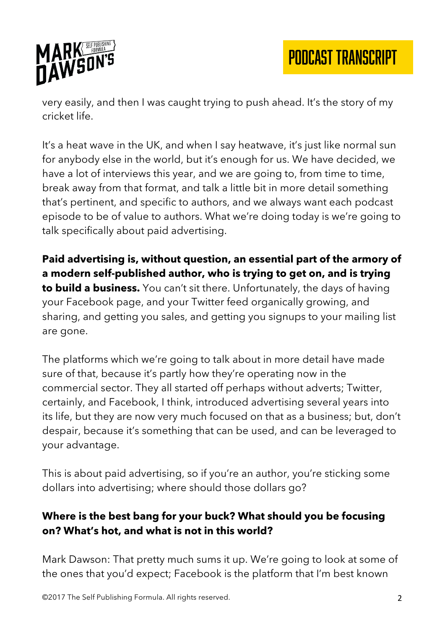

very easily, and then I was caught trying to push ahead. It's the story of my cricket life.

It's a heat wave in the UK, and when I say heatwave, it's just like normal sun for anybody else in the world, but it's enough for us. We have decided, we have a lot of interviews this year, and we are going to, from time to time, break away from that format, and talk a little bit in more detail something that's pertinent, and specific to authors, and we always want each podcast episode to be of value to authors. What we're doing today is we're going to talk specifically about paid advertising.

**Paid advertising is, without question, an essential part of the armory of a modern self-published author, who is trying to get on, and is trying to build a business.** You can't sit there. Unfortunately, the days of having your Facebook page, and your Twitter feed organically growing, and sharing, and getting you sales, and getting you signups to your mailing list are gone.

The platforms which we're going to talk about in more detail have made sure of that, because it's partly how they're operating now in the commercial sector. They all started off perhaps without adverts; Twitter, certainly, and Facebook, I think, introduced advertising several years into its life, but they are now very much focused on that as a business; but, don't despair, because it's something that can be used, and can be leveraged to your advantage.

This is about paid advertising, so if you're an author, you're sticking some dollars into advertising; where should those dollars go?

### **Where is the best bang for your buck? What should you be focusing on? What's hot, and what is not in this world?**

Mark Dawson: That pretty much sums it up. We're going to look at some of the ones that you'd expect; Facebook is the platform that I'm best known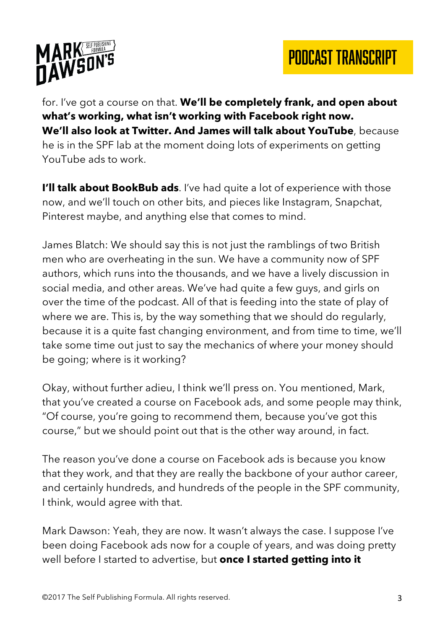

for. I've got a course on that. **We'll be completely frank, and open about what's working, what isn't working with Facebook right now. We'll also look at Twitter. And James will talk about YouTube**, because he is in the SPF lab at the moment doing lots of experiments on getting YouTube ads to work.

**I'll talk about BookBub ads**. I've had quite a lot of experience with those now, and we'll touch on other bits, and pieces like Instagram, Snapchat, Pinterest maybe, and anything else that comes to mind.

James Blatch: We should say this is not just the ramblings of two British men who are overheating in the sun. We have a community now of SPF authors, which runs into the thousands, and we have a lively discussion in social media, and other areas. We've had quite a few guys, and girls on over the time of the podcast. All of that is feeding into the state of play of where we are. This is, by the way something that we should do regularly, because it is a quite fast changing environment, and from time to time, we'll take some time out just to say the mechanics of where your money should be going; where is it working?

Okay, without further adieu, I think we'll press on. You mentioned, Mark, that you've created a course on Facebook ads, and some people may think, "Of course, you're going to recommend them, because you've got this course," but we should point out that is the other way around, in fact.

The reason you've done a course on Facebook ads is because you know that they work, and that they are really the backbone of your author career, and certainly hundreds, and hundreds of the people in the SPF community, I think, would agree with that.

Mark Dawson: Yeah, they are now. It wasn't always the case. I suppose I've been doing Facebook ads now for a couple of years, and was doing pretty well before I started to advertise, but **once I started getting into it**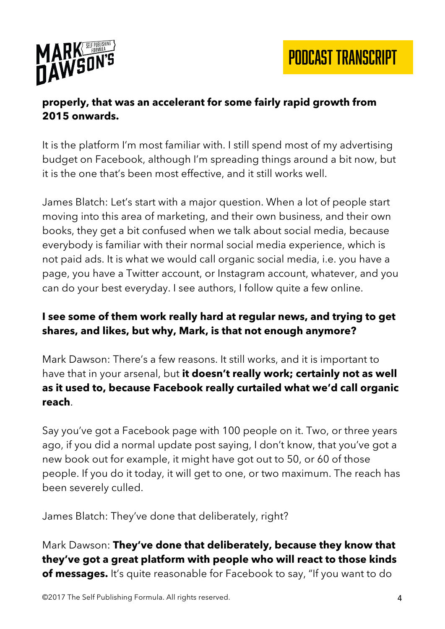

#### **properly, that was an accelerant for some fairly rapid growth from 2015 onwards.**

It is the platform I'm most familiar with. I still spend most of my advertising budget on Facebook, although I'm spreading things around a bit now, but it is the one that's been most effective, and it still works well.

James Blatch: Let's start with a major question. When a lot of people start moving into this area of marketing, and their own business, and their own books, they get a bit confused when we talk about social media, because everybody is familiar with their normal social media experience, which is not paid ads. It is what we would call organic social media, i.e. you have a page, you have a Twitter account, or Instagram account, whatever, and you can do your best everyday. I see authors, I follow quite a few online.

### **I see some of them work really hard at regular news, and trying to get shares, and likes, but why, Mark, is that not enough anymore?**

Mark Dawson: There's a few reasons. It still works, and it is important to have that in your arsenal, but **it doesn't really work; certainly not as well as it used to, because Facebook really curtailed what we'd call organic reach**.

Say you've got a Facebook page with 100 people on it. Two, or three years ago, if you did a normal update post saying, I don't know, that you've got a new book out for example, it might have got out to 50, or 60 of those people. If you do it today, it will get to one, or two maximum. The reach has been severely culled.

James Blatch: They've done that deliberately, right?

Mark Dawson: **They've done that deliberately, because they know that they've got a great platform with people who will react to those kinds of messages.** It's quite reasonable for Facebook to say, "If you want to do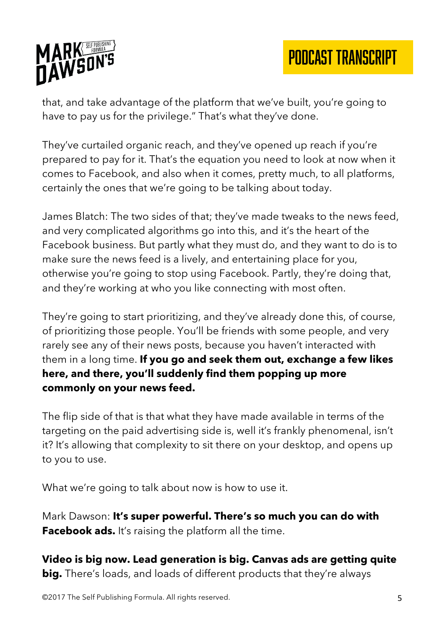

that, and take advantage of the platform that we've built, you're going to have to pay us for the privilege." That's what they've done.

They've curtailed organic reach, and they've opened up reach if you're prepared to pay for it. That's the equation you need to look at now when it comes to Facebook, and also when it comes, pretty much, to all platforms, certainly the ones that we're going to be talking about today.

James Blatch: The two sides of that; they've made tweaks to the news feed, and very complicated algorithms go into this, and it's the heart of the Facebook business. But partly what they must do, and they want to do is to make sure the news feed is a lively, and entertaining place for you, otherwise you're going to stop using Facebook. Partly, they're doing that, and they're working at who you like connecting with most often.

They're going to start prioritizing, and they've already done this, of course, of prioritizing those people. You'll be friends with some people, and very rarely see any of their news posts, because you haven't interacted with them in a long time. **If you go and seek them out, exchange a few likes here, and there, you'll suddenly find them popping up more commonly on your news feed.**

The flip side of that is that what they have made available in terms of the targeting on the paid advertising side is, well it's frankly phenomenal, isn't it? It's allowing that complexity to sit there on your desktop, and opens up to you to use.

What we're going to talk about now is how to use it.

Mark Dawson: **It's super powerful. There's so much you can do with Facebook ads.** It's raising the platform all the time.

**Video is big now. Lead generation is big. Canvas ads are getting quite big.** There's loads, and loads of different products that they're always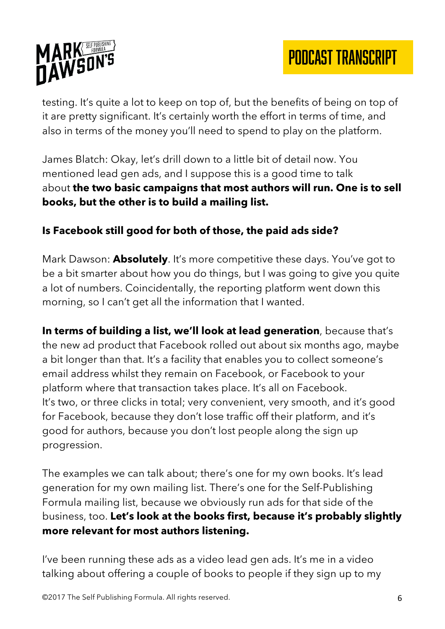

testing. It's quite a lot to keep on top of, but the benefits of being on top of it are pretty significant. It's certainly worth the effort in terms of time, and also in terms of the money you'll need to spend to play on the platform.

James Blatch: Okay, let's drill down to a little bit of detail now. You mentioned lead gen ads, and I suppose this is a good time to talk about **the two basic campaigns that most authors will run. One is to sell books, but the other is to build a mailing list.**

### **Is Facebook still good for both of those, the paid ads side?**

Mark Dawson: **Absolutely**. It's more competitive these days. You've got to be a bit smarter about how you do things, but I was going to give you quite a lot of numbers. Coincidentally, the reporting platform went down this morning, so I can't get all the information that I wanted.

**In terms of building a list, we'll look at lead generation**, because that's the new ad product that Facebook rolled out about six months ago, maybe a bit longer than that. It's a facility that enables you to collect someone's email address whilst they remain on Facebook, or Facebook to your platform where that transaction takes place. It's all on Facebook. It's two, or three clicks in total; very convenient, very smooth, and it's good for Facebook, because they don't lose traffic off their platform, and it's good for authors, because you don't lost people along the sign up progression.

The examples we can talk about; there's one for my own books. It's lead generation for my own mailing list. There's one for the Self-Publishing Formula mailing list, because we obviously run ads for that side of the business, too. **Let's look at the books first, because it's probably slightly more relevant for most authors listening.**

I've been running these ads as a video lead gen ads. It's me in a video talking about offering a couple of books to people if they sign up to my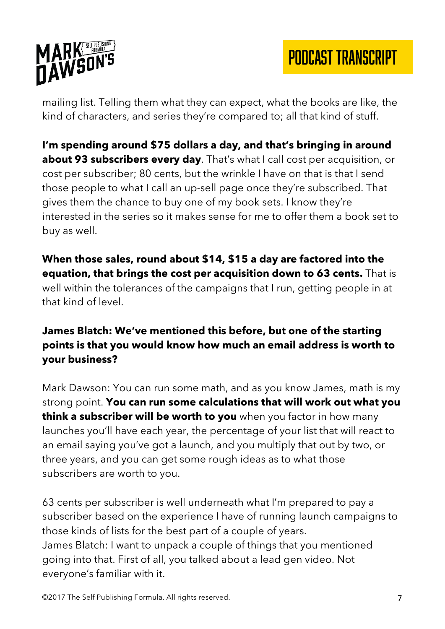

mailing list. Telling them what they can expect, what the books are like, the kind of characters, and series they're compared to; all that kind of stuff.

**I'm spending around \$75 dollars a day, and that's bringing in around about 93 subscribers every day**. That's what I call cost per acquisition, or cost per subscriber; 80 cents, but the wrinkle I have on that is that I send those people to what I call an up-sell page once they're subscribed. That gives them the chance to buy one of my book sets. I know they're interested in the series so it makes sense for me to offer them a book set to buy as well.

**When those sales, round about \$14, \$15 a day are factored into the equation, that brings the cost per acquisition down to 63 cents.** That is well within the tolerances of the campaigns that I run, getting people in at that kind of level.

### **James Blatch: We've mentioned this before, but one of the starting points is that you would know how much an email address is worth to your business?**

Mark Dawson: You can run some math, and as you know James, math is my strong point. **You can run some calculations that will work out what you think a subscriber will be worth to you** when you factor in how many launches you'll have each year, the percentage of your list that will react to an email saying you've got a launch, and you multiply that out by two, or three years, and you can get some rough ideas as to what those subscribers are worth to you.

63 cents per subscriber is well underneath what I'm prepared to pay a subscriber based on the experience I have of running launch campaigns to those kinds of lists for the best part of a couple of years. James Blatch: I want to unpack a couple of things that you mentioned going into that. First of all, you talked about a lead gen video. Not everyone's familiar with it.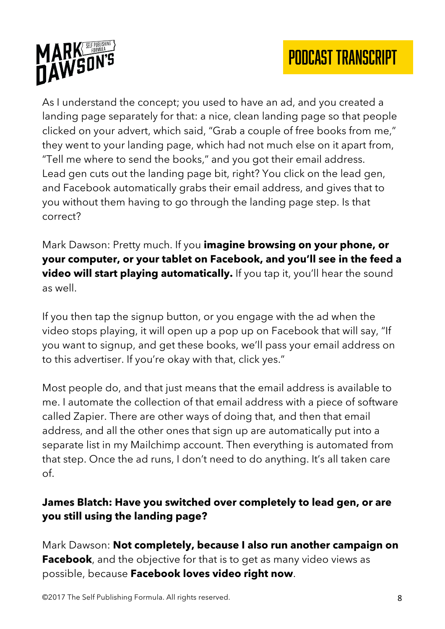

As I understand the concept; you used to have an ad, and you created a landing page separately for that: a nice, clean landing page so that people clicked on your advert, which said, "Grab a couple of free books from me," they went to your landing page, which had not much else on it apart from, "Tell me where to send the books," and you got their email address. Lead gen cuts out the landing page bit, right? You click on the lead gen, and Facebook automatically grabs their email address, and gives that to you without them having to go through the landing page step. Is that correct?

Mark Dawson: Pretty much. If you **imagine browsing on your phone, or your computer, or your tablet on Facebook, and you'll see in the feed a video will start playing automatically.** If you tap it, you'll hear the sound as well.

If you then tap the signup button, or you engage with the ad when the video stops playing, it will open up a pop up on Facebook that will say, "If you want to signup, and get these books, we'll pass your email address on to this advertiser. If you're okay with that, click yes."

Most people do, and that just means that the email address is available to me. I automate the collection of that email address with a piece of software called Zapier. There are other ways of doing that, and then that email address, and all the other ones that sign up are automatically put into a separate list in my Mailchimp account. Then everything is automated from that step. Once the ad runs, I don't need to do anything. It's all taken care of.

### **James Blatch: Have you switched over completely to lead gen, or are you still using the landing page?**

Mark Dawson: **Not completely, because I also run another campaign on Facebook**, and the objective for that is to get as many video views as possible, because **Facebook loves video right now**.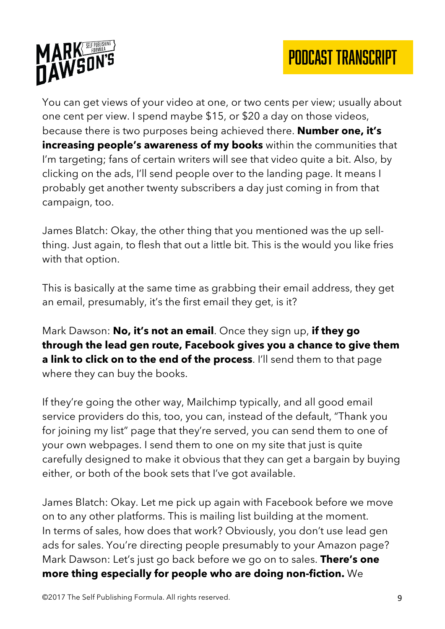

You can get views of your video at one, or two cents per view; usually about one cent per view. I spend maybe \$15, or \$20 a day on those videos, because there is two purposes being achieved there. **Number one, it's increasing people's awareness of my books** within the communities that I'm targeting; fans of certain writers will see that video quite a bit. Also, by clicking on the ads, I'll send people over to the landing page. It means I probably get another twenty subscribers a day just coming in from that campaign, too.

James Blatch: Okay, the other thing that you mentioned was the up sellthing. Just again, to flesh that out a little bit. This is the would you like fries with that option.

This is basically at the same time as grabbing their email address, they get an email, presumably, it's the first email they get, is it?

Mark Dawson: **No, it's not an email**. Once they sign up, **if they go through the lead gen route, Facebook gives you a chance to give them a link to click on to the end of the process**. I'll send them to that page where they can buy the books.

If they're going the other way, Mailchimp typically, and all good email service providers do this, too, you can, instead of the default, "Thank you for joining my list" page that they're served, you can send them to one of your own webpages. I send them to one on my site that just is quite carefully designed to make it obvious that they can get a bargain by buying either, or both of the book sets that I've got available.

James Blatch: Okay. Let me pick up again with Facebook before we move on to any other platforms. This is mailing list building at the moment. In terms of sales, how does that work? Obviously, you don't use lead gen ads for sales. You're directing people presumably to your Amazon page? Mark Dawson: Let's just go back before we go on to sales. **There's one more thing especially for people who are doing non-fiction.** We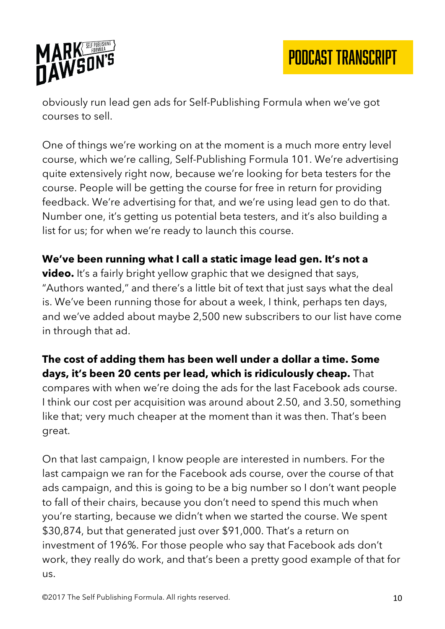

obviously run lead gen ads for Self-Publishing Formula when we've got courses to sell.

One of things we're working on at the moment is a much more entry level course, which we're calling, Self-Publishing Formula 101. We're advertising quite extensively right now, because we're looking for beta testers for the course. People will be getting the course for free in return for providing feedback. We're advertising for that, and we're using lead gen to do that. Number one, it's getting us potential beta testers, and it's also building a list for us; for when we're ready to launch this course.

#### **We've been running what I call a static image lead gen. It's not a**

**video.** It's a fairly bright yellow graphic that we designed that says, "Authors wanted," and there's a little bit of text that just says what the deal is. We've been running those for about a week, I think, perhaps ten days, and we've added about maybe 2,500 new subscribers to our list have come in through that ad.

#### **The cost of adding them has been well under a dollar a time. Some days, it's been 20 cents per lead, which is ridiculously cheap.** That

compares with when we're doing the ads for the last Facebook ads course. I think our cost per acquisition was around about 2.50, and 3.50, something like that; very much cheaper at the moment than it was then. That's been great.

On that last campaign, I know people are interested in numbers. For the last campaign we ran for the Facebook ads course, over the course of that ads campaign, and this is going to be a big number so I don't want people to fall of their chairs, because you don't need to spend this much when you're starting, because we didn't when we started the course. We spent \$30,874, but that generated just over \$91,000. That's a return on investment of 196%. For those people who say that Facebook ads don't work, they really do work, and that's been a pretty good example of that for us.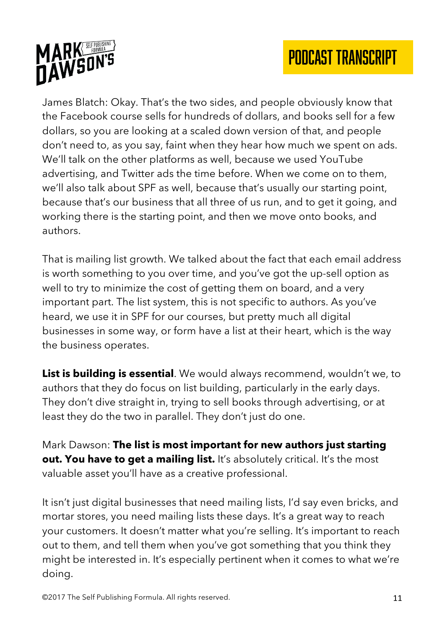

James Blatch: Okay. That's the two sides, and people obviously know that the Facebook course sells for hundreds of dollars, and books sell for a few dollars, so you are looking at a scaled down version of that, and people don't need to, as you say, faint when they hear how much we spent on ads. We'll talk on the other platforms as well, because we used YouTube advertising, and Twitter ads the time before. When we come on to them, we'll also talk about SPF as well, because that's usually our starting point, because that's our business that all three of us run, and to get it going, and working there is the starting point, and then we move onto books, and authors.

That is mailing list growth. We talked about the fact that each email address is worth something to you over time, and you've got the up-sell option as well to try to minimize the cost of getting them on board, and a very important part. The list system, this is not specific to authors. As you've heard, we use it in SPF for our courses, but pretty much all digital businesses in some way, or form have a list at their heart, which is the way the business operates.

**List is building is essential**. We would always recommend, wouldn't we, to authors that they do focus on list building, particularly in the early days. They don't dive straight in, trying to sell books through advertising, or at least they do the two in parallel. They don't just do one.

Mark Dawson: **The list is most important for new authors just starting out. You have to get a mailing list.** It's absolutely critical. It's the most valuable asset you'll have as a creative professional.

It isn't just digital businesses that need mailing lists, I'd say even bricks, and mortar stores, you need mailing lists these days. It's a great way to reach your customers. It doesn't matter what you're selling. It's important to reach out to them, and tell them when you've got something that you think they might be interested in. It's especially pertinent when it comes to what we're doing.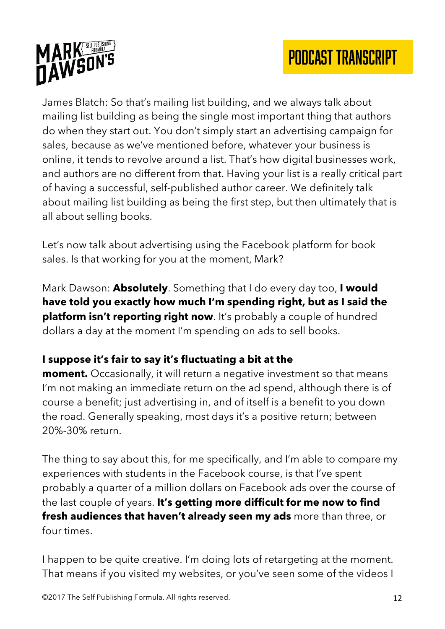

James Blatch: So that's mailing list building, and we always talk about mailing list building as being the single most important thing that authors do when they start out. You don't simply start an advertising campaign for sales, because as we've mentioned before, whatever your business is online, it tends to revolve around a list. That's how digital businesses work, and authors are no different from that. Having your list is a really critical part of having a successful, self-published author career. We definitely talk about mailing list building as being the first step, but then ultimately that is all about selling books.

Let's now talk about advertising using the Facebook platform for book sales. Is that working for you at the moment, Mark?

Mark Dawson: **Absolutely**. Something that I do every day too, **I would have told you exactly how much I'm spending right, but as I said the platform isn't reporting right now**. It's probably a couple of hundred dollars a day at the moment I'm spending on ads to sell books.

### **I suppose it's fair to say it's fluctuating a bit at the**

**moment.** Occasionally, it will return a negative investment so that means I'm not making an immediate return on the ad spend, although there is of course a benefit; just advertising in, and of itself is a benefit to you down the road. Generally speaking, most days it's a positive return; between 20%-30% return.

The thing to say about this, for me specifically, and I'm able to compare my experiences with students in the Facebook course, is that I've spent probably a quarter of a million dollars on Facebook ads over the course of the last couple of years. **It's getting more difficult for me now to find fresh audiences that haven't already seen my ads** more than three, or four times.

I happen to be quite creative. I'm doing lots of retargeting at the moment. That means if you visited my websites, or you've seen some of the videos I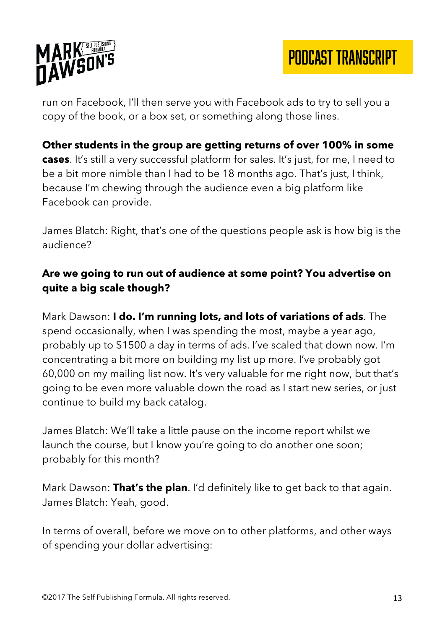



run on Facebook, I'll then serve you with Facebook ads to try to sell you a copy of the book, or a box set, or something along those lines.

#### **Other students in the group are getting returns of over 100% in some cases**. It's still a very successful platform for sales. It's just, for me, I need to be a bit more nimble than I had to be 18 months ago. That's just, I think, because I'm chewing through the audience even a big platform like Facebook can provide.

James Blatch: Right, that's one of the questions people ask is how big is the audience?

### **Are we going to run out of audience at some point? You advertise on quite a big scale though?**

Mark Dawson: **I do. I'm running lots, and lots of variations of ads**. The spend occasionally, when I was spending the most, maybe a year ago, probably up to \$1500 a day in terms of ads. I've scaled that down now. I'm concentrating a bit more on building my list up more. I've probably got 60,000 on my mailing list now. It's very valuable for me right now, but that's going to be even more valuable down the road as I start new series, or just continue to build my back catalog.

James Blatch: We'll take a little pause on the income report whilst we launch the course, but I know you're going to do another one soon; probably for this month?

Mark Dawson: **That's the plan**. I'd definitely like to get back to that again. James Blatch: Yeah, good.

In terms of overall, before we move on to other platforms, and other ways of spending your dollar advertising: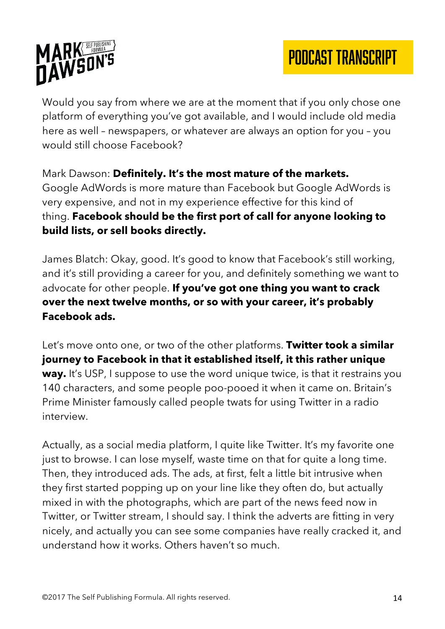

Would you say from where we are at the moment that if you only chose one platform of everything you've got available, and I would include old media here as well – newspapers, or whatever are always an option for you – you would still choose Facebook?

Mark Dawson: **Definitely. It's the most mature of the markets.** Google AdWords is more mature than Facebook but Google AdWords is very expensive, and not in my experience effective for this kind of thing. **Facebook should be the first port of call for anyone looking to build lists, or sell books directly.**

James Blatch: Okay, good. It's good to know that Facebook's still working, and it's still providing a career for you, and definitely something we want to advocate for other people. **If you've got one thing you want to crack over the next twelve months, or so with your career, it's probably Facebook ads.**

Let's move onto one, or two of the other platforms. **Twitter took a similar journey to Facebook in that it established itself, it this rather unique way.** It's USP, I suppose to use the word unique twice, is that it restrains you 140 characters, and some people poo-pooed it when it came on. Britain's Prime Minister famously called people twats for using Twitter in a radio interview.

Actually, as a social media platform, I quite like Twitter. It's my favorite one just to browse. I can lose myself, waste time on that for quite a long time. Then, they introduced ads. The ads, at first, felt a little bit intrusive when they first started popping up on your line like they often do, but actually mixed in with the photographs, which are part of the news feed now in Twitter, or Twitter stream, I should say. I think the adverts are fitting in very nicely, and actually you can see some companies have really cracked it, and understand how it works. Others haven't so much.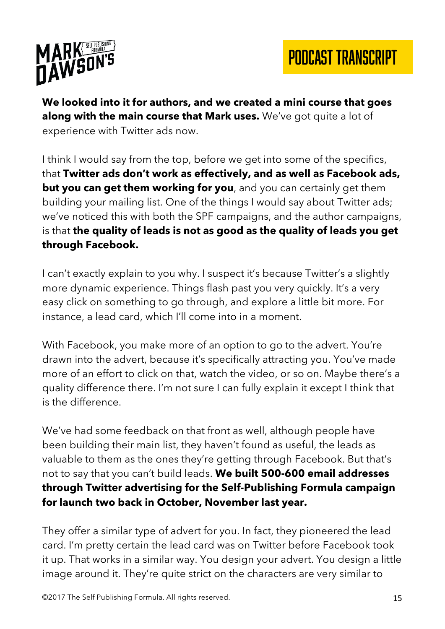

**We looked into it for authors, and we created a mini course that goes along with the main course that Mark uses.** We've got quite a lot of experience with Twitter ads now.

I think I would say from the top, before we get into some of the specifics, that **Twitter ads don't work as effectively, and as well as Facebook ads, but you can get them working for you**, and you can certainly get them building your mailing list. One of the things I would say about Twitter ads; we've noticed this with both the SPF campaigns, and the author campaigns, is that **the quality of leads is not as good as the quality of leads you get through Facebook.**

I can't exactly explain to you why. I suspect it's because Twitter's a slightly more dynamic experience. Things flash past you very quickly. It's a very easy click on something to go through, and explore a little bit more. For instance, a lead card, which I'll come into in a moment.

With Facebook, you make more of an option to go to the advert. You're drawn into the advert, because it's specifically attracting you. You've made more of an effort to click on that, watch the video, or so on. Maybe there's a quality difference there. I'm not sure I can fully explain it except I think that is the difference.

We've had some feedback on that front as well, although people have been building their main list, they haven't found as useful, the leads as valuable to them as the ones they're getting through Facebook. But that's not to say that you can't build leads. **We built 500-600 email addresses through Twitter advertising for the Self-Publishing Formula campaign for launch two back in October, November last year.**

They offer a similar type of advert for you. In fact, they pioneered the lead card. I'm pretty certain the lead card was on Twitter before Facebook took it up. That works in a similar way. You design your advert. You design a little image around it. They're quite strict on the characters are very similar to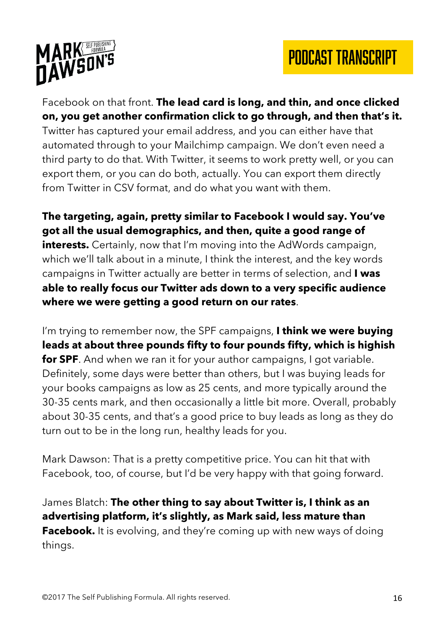



Facebook on that front. **The lead card is long, and thin, and once clicked on, you get another confirmation click to go through, and then that's it.** Twitter has captured your email address, and you can either have that automated through to your Mailchimp campaign. We don't even need a third party to do that. With Twitter, it seems to work pretty well, or you can export them, or you can do both, actually. You can export them directly from Twitter in CSV format, and do what you want with them.

**The targeting, again, pretty similar to Facebook I would say. You've got all the usual demographics, and then, quite a good range of interests.** Certainly, now that I'm moving into the AdWords campaign, which we'll talk about in a minute, I think the interest, and the key words campaigns in Twitter actually are better in terms of selection, and **I was able to really focus our Twitter ads down to a very specific audience where we were getting a good return on our rates**.

I'm trying to remember now, the SPF campaigns, **I think we were buying leads at about three pounds fifty to four pounds fifty, which is highish for SPF**. And when we ran it for your author campaigns, I got variable. Definitely, some days were better than others, but I was buying leads for your books campaigns as low as 25 cents, and more typically around the 30-35 cents mark, and then occasionally a little bit more. Overall, probably about 30-35 cents, and that's a good price to buy leads as long as they do turn out to be in the long run, healthy leads for you.

Mark Dawson: That is a pretty competitive price. You can hit that with Facebook, too, of course, but I'd be very happy with that going forward.

James Blatch: **The other thing to say about Twitter is, I think as an advertising platform, it's slightly, as Mark said, less mature than Facebook.** It is evolving, and they're coming up with new ways of doing things.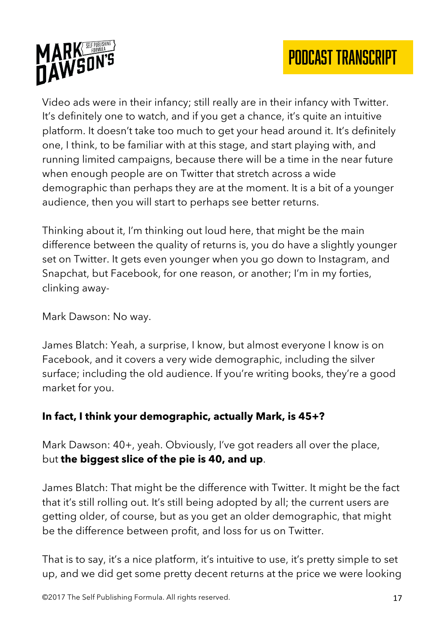

Video ads were in their infancy; still really are in their infancy with Twitter. It's definitely one to watch, and if you get a chance, it's quite an intuitive platform. It doesn't take too much to get your head around it. It's definitely one, I think, to be familiar with at this stage, and start playing with, and running limited campaigns, because there will be a time in the near future when enough people are on Twitter that stretch across a wide demographic than perhaps they are at the moment. It is a bit of a younger audience, then you will start to perhaps see better returns.

Thinking about it, I'm thinking out loud here, that might be the main difference between the quality of returns is, you do have a slightly younger set on Twitter. It gets even younger when you go down to Instagram, and Snapchat, but Facebook, for one reason, or another; I'm in my forties, clinking away-

Mark Dawson: No way.

James Blatch: Yeah, a surprise, I know, but almost everyone I know is on Facebook, and it covers a very wide demographic, including the silver surface; including the old audience. If you're writing books, they're a good market for you.

### **In fact, I think your demographic, actually Mark, is 45+?**

Mark Dawson: 40+, yeah. Obviously, I've got readers all over the place, but **the biggest slice of the pie is 40, and up**.

James Blatch: That might be the difference with Twitter. It might be the fact that it's still rolling out. It's still being adopted by all; the current users are getting older, of course, but as you get an older demographic, that might be the difference between profit, and loss for us on Twitter.

That is to say, it's a nice platform, it's intuitive to use, it's pretty simple to set up, and we did get some pretty decent returns at the price we were looking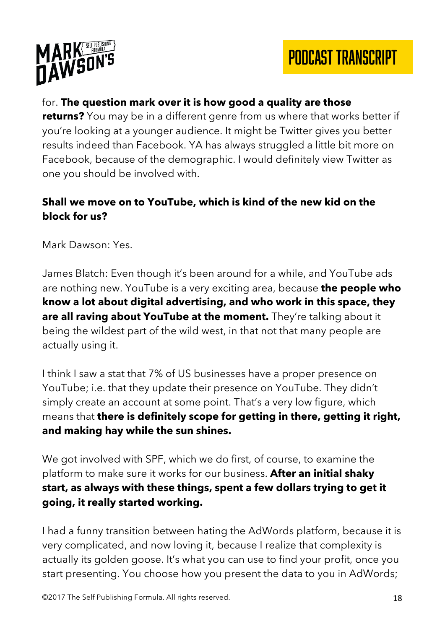

#### for. **The question mark over it is how good a quality are those**

**returns?** You may be in a different genre from us where that works better if you're looking at a younger audience. It might be Twitter gives you better results indeed than Facebook. YA has always struggled a little bit more on Facebook, because of the demographic. I would definitely view Twitter as one you should be involved with.

#### **Shall we move on to YouTube, which is kind of the new kid on the block for us?**

Mark Dawson: Yes.

James Blatch: Even though it's been around for a while, and YouTube ads are nothing new. YouTube is a very exciting area, because **the people who know a lot about digital advertising, and who work in this space, they are all raving about YouTube at the moment.** They're talking about it being the wildest part of the wild west, in that not that many people are actually using it.

I think I saw a stat that 7% of US businesses have a proper presence on YouTube; i.e. that they update their presence on YouTube. They didn't simply create an account at some point. That's a very low figure, which means that **there is definitely scope for getting in there, getting it right, and making hay while the sun shines.**

We got involved with SPF, which we do first, of course, to examine the platform to make sure it works for our business. **After an initial shaky start, as always with these things, spent a few dollars trying to get it going, it really started working.**

I had a funny transition between hating the AdWords platform, because it is very complicated, and now loving it, because I realize that complexity is actually its golden goose. It's what you can use to find your profit, once you start presenting. You choose how you present the data to you in AdWords;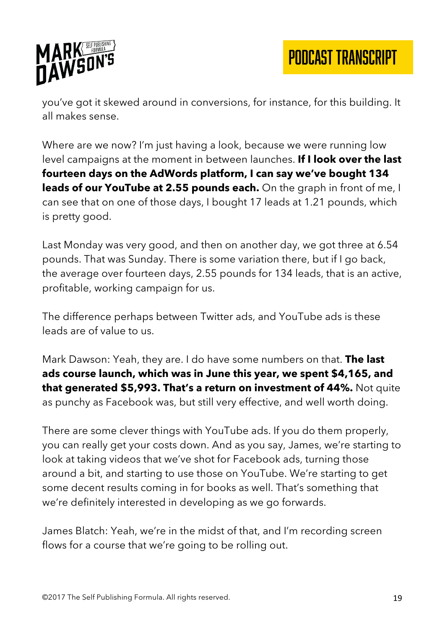

you've got it skewed around in conversions, for instance, for this building. It all makes sense.

Where are we now? I'm just having a look, because we were running low level campaigns at the moment in between launches. **If I look over the last fourteen days on the AdWords platform, I can say we've bought 134 leads of our YouTube at 2.55 pounds each.** On the graph in front of me, I can see that on one of those days, I bought 17 leads at 1.21 pounds, which is pretty good.

Last Monday was very good, and then on another day, we got three at 6.54 pounds. That was Sunday. There is some variation there, but if I go back, the average over fourteen days, 2.55 pounds for 134 leads, that is an active, profitable, working campaign for us.

The difference perhaps between Twitter ads, and YouTube ads is these leads are of value to us.

Mark Dawson: Yeah, they are. I do have some numbers on that. **The last ads course launch, which was in June this year, we spent \$4,165, and that generated \$5,993. That's a return on investment of 44%.** Not quite as punchy as Facebook was, but still very effective, and well worth doing.

There are some clever things with YouTube ads. If you do them properly, you can really get your costs down. And as you say, James, we're starting to look at taking videos that we've shot for Facebook ads, turning those around a bit, and starting to use those on YouTube. We're starting to get some decent results coming in for books as well. That's something that we're definitely interested in developing as we go forwards.

James Blatch: Yeah, we're in the midst of that, and I'm recording screen flows for a course that we're going to be rolling out.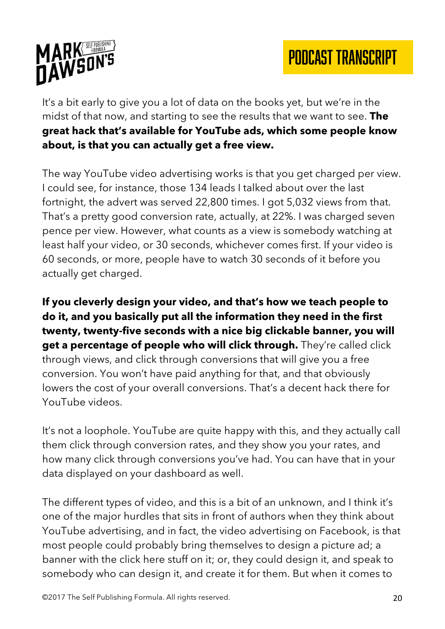

It's a bit early to give you a lot of data on the books yet, but we're in the midst of that now, and starting to see the results that we want to see. **The great hack that's available for YouTube ads, which some people know about, is that you can actually get a free view.**

The way YouTube video advertising works is that you get charged per view. I could see, for instance, those 134 leads I talked about over the last fortnight, the advert was served 22,800 times. I got 5,032 views from that. That's a pretty good conversion rate, actually, at 22%. I was charged seven pence per view. However, what counts as a view is somebody watching at least half your video, or 30 seconds, whichever comes first. If your video is 60 seconds, or more, people have to watch 30 seconds of it before you actually get charged.

**If you cleverly design your video, and that's how we teach people to do it, and you basically put all the information they need in the first twenty, twenty-five seconds with a nice big clickable banner, you will get a percentage of people who will click through.** They're called click through views, and click through conversions that will give you a free conversion. You won't have paid anything for that, and that obviously lowers the cost of your overall conversions. That's a decent hack there for YouTube videos.

It's not a loophole. YouTube are quite happy with this, and they actually call them click through conversion rates, and they show you your rates, and how many click through conversions you've had. You can have that in your data displayed on your dashboard as well.

The different types of video, and this is a bit of an unknown, and I think it's one of the major hurdles that sits in front of authors when they think about YouTube advertising, and in fact, the video advertising on Facebook, is that most people could probably bring themselves to design a picture ad; a banner with the click here stuff on it; or, they could design it, and speak to somebody who can design it, and create it for them. But when it comes to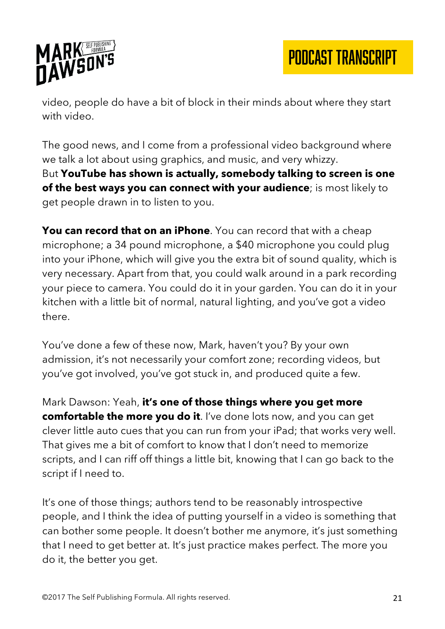

video, people do have a bit of block in their minds about where they start with video.

The good news, and I come from a professional video background where we talk a lot about using graphics, and music, and very whizzy. But **YouTube has shown is actually, somebody talking to screen is one of the best ways you can connect with your audience**; is most likely to get people drawn in to listen to you.

**You can record that on an iPhone**. You can record that with a cheap microphone; a 34 pound microphone, a \$40 microphone you could plug into your iPhone, which will give you the extra bit of sound quality, which is very necessary. Apart from that, you could walk around in a park recording your piece to camera. You could do it in your garden. You can do it in your kitchen with a little bit of normal, natural lighting, and you've got a video there.

You've done a few of these now, Mark, haven't you? By your own admission, it's not necessarily your comfort zone; recording videos, but you've got involved, you've got stuck in, and produced quite a few.

Mark Dawson: Yeah, **it's one of those things where you get more comfortable the more you do it**. I've done lots now, and you can get clever little auto cues that you can run from your iPad; that works very well. That gives me a bit of comfort to know that I don't need to memorize scripts, and I can riff off things a little bit, knowing that I can go back to the script if I need to.

It's one of those things; authors tend to be reasonably introspective people, and I think the idea of putting yourself in a video is something that can bother some people. It doesn't bother me anymore, it's just something that I need to get better at. It's just practice makes perfect. The more you do it, the better you get.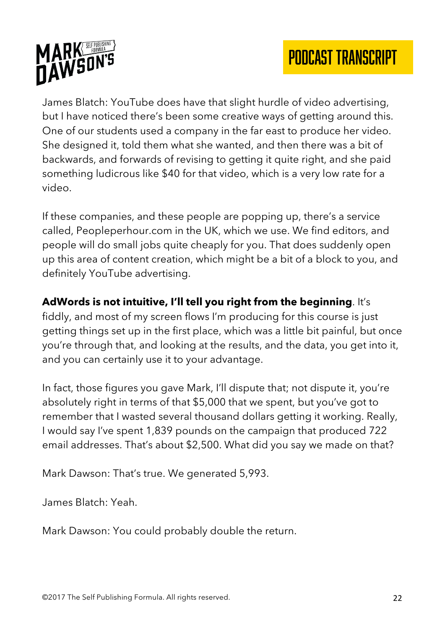

James Blatch: YouTube does have that slight hurdle of video advertising, but I have noticed there's been some creative ways of getting around this. One of our students used a company in the far east to produce her video. She designed it, told them what she wanted, and then there was a bit of backwards, and forwards of revising to getting it quite right, and she paid something ludicrous like \$40 for that video, which is a very low rate for a video.

If these companies, and these people are popping up, there's a service called, Peopleperhour.com in the UK, which we use. We find editors, and people will do small jobs quite cheaply for you. That does suddenly open up this area of content creation, which might be a bit of a block to you, and definitely YouTube advertising.

**AdWords is not intuitive, I'll tell you right from the beginning**. It's fiddly, and most of my screen flows I'm producing for this course is just getting things set up in the first place, which was a little bit painful, but once you're through that, and looking at the results, and the data, you get into it, and you can certainly use it to your advantage.

In fact, those figures you gave Mark, I'll dispute that; not dispute it, you're absolutely right in terms of that \$5,000 that we spent, but you've got to remember that I wasted several thousand dollars getting it working. Really, I would say I've spent 1,839 pounds on the campaign that produced 722 email addresses. That's about \$2,500. What did you say we made on that?

Mark Dawson: That's true. We generated 5,993.

James Blatch: Yeah.

Mark Dawson: You could probably double the return.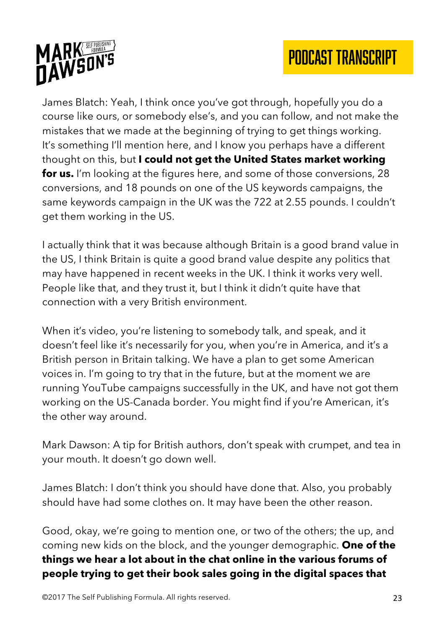

James Blatch: Yeah, I think once you've got through, hopefully you do a course like ours, or somebody else's, and you can follow, and not make the mistakes that we made at the beginning of trying to get things working. It's something I'll mention here, and I know you perhaps have a different thought on this, but **I could not get the United States market working for us.** I'm looking at the figures here, and some of those conversions, 28 conversions, and 18 pounds on one of the US keywords campaigns, the same keywords campaign in the UK was the 722 at 2.55 pounds. I couldn't get them working in the US.

I actually think that it was because although Britain is a good brand value in the US, I think Britain is quite a good brand value despite any politics that may have happened in recent weeks in the UK. I think it works very well. People like that, and they trust it, but I think it didn't quite have that connection with a very British environment.

When it's video, you're listening to somebody talk, and speak, and it doesn't feel like it's necessarily for you, when you're in America, and it's a British person in Britain talking. We have a plan to get some American voices in. I'm going to try that in the future, but at the moment we are running YouTube campaigns successfully in the UK, and have not got them working on the US-Canada border. You might find if you're American, it's the other way around.

Mark Dawson: A tip for British authors, don't speak with crumpet, and tea in your mouth. It doesn't go down well.

James Blatch: I don't think you should have done that. Also, you probably should have had some clothes on. It may have been the other reason.

Good, okay, we're going to mention one, or two of the others; the up, and coming new kids on the block, and the younger demographic. **One of the things we hear a lot about in the chat online in the various forums of people trying to get their book sales going in the digital spaces that**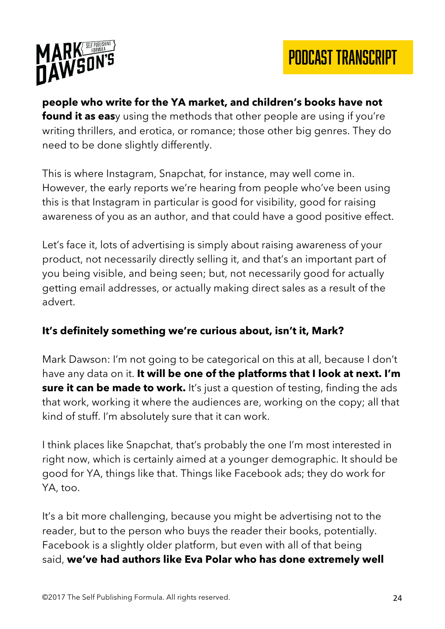

**people who write for the YA market, and children's books have not found it as eas**y using the methods that other people are using if you're writing thrillers, and erotica, or romance; those other big genres. They do need to be done slightly differently.

This is where Instagram, Snapchat, for instance, may well come in. However, the early reports we're hearing from people who've been using this is that Instagram in particular is good for visibility, good for raising awareness of you as an author, and that could have a good positive effect.

Let's face it, lots of advertising is simply about raising awareness of your product, not necessarily directly selling it, and that's an important part of you being visible, and being seen; but, not necessarily good for actually getting email addresses, or actually making direct sales as a result of the advert.

### **It's definitely something we're curious about, isn't it, Mark?**

Mark Dawson: I'm not going to be categorical on this at all, because I don't have any data on it. **It will be one of the platforms that I look at next. I'm sure it can be made to work.** It's just a question of testing, finding the ads that work, working it where the audiences are, working on the copy; all that kind of stuff. I'm absolutely sure that it can work.

I think places like Snapchat, that's probably the one I'm most interested in right now, which is certainly aimed at a younger demographic. It should be good for YA, things like that. Things like Facebook ads; they do work for YA, too.

It's a bit more challenging, because you might be advertising not to the reader, but to the person who buys the reader their books, potentially. Facebook is a slightly older platform, but even with all of that being said, **we've had authors like Eva Polar who has done extremely well**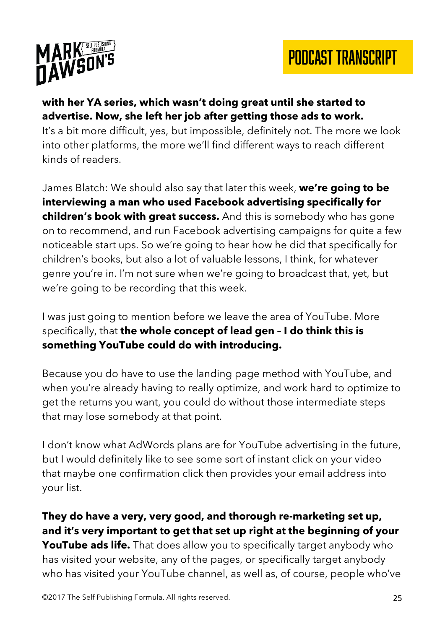

#### **with her YA series, which wasn't doing great until she started to advertise. Now, she left her job after getting those ads to work.**

It's a bit more difficult, yes, but impossible, definitely not. The more we look into other platforms, the more we'll find different ways to reach different kinds of readers.

James Blatch: We should also say that later this week, **we're going to be interviewing a man who used Facebook advertising specifically for children's book with great success.** And this is somebody who has gone on to recommend, and run Facebook advertising campaigns for quite a few noticeable start ups. So we're going to hear how he did that specifically for children's books, but also a lot of valuable lessons, I think, for whatever genre you're in. I'm not sure when we're going to broadcast that, yet, but we're going to be recording that this week.

I was just going to mention before we leave the area of YouTube. More specifically, that **the whole concept of lead gen – I do think this is something YouTube could do with introducing.**

Because you do have to use the landing page method with YouTube, and when you're already having to really optimize, and work hard to optimize to get the returns you want, you could do without those intermediate steps that may lose somebody at that point.

I don't know what AdWords plans are for YouTube advertising in the future, but I would definitely like to see some sort of instant click on your video that maybe one confirmation click then provides your email address into your list.

**They do have a very, very good, and thorough re-marketing set up, and it's very important to get that set up right at the beginning of your YouTube ads life.** That does allow you to specifically target anybody who has visited your website, any of the pages, or specifically target anybody who has visited your YouTube channel, as well as, of course, people who've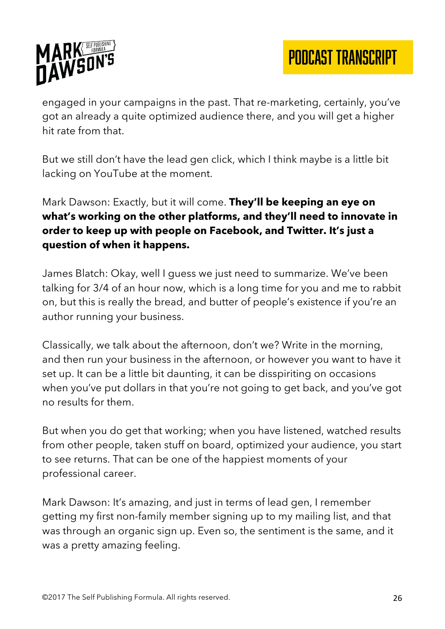

engaged in your campaigns in the past. That re-marketing, certainly, you've got an already a quite optimized audience there, and you will get a higher hit rate from that.

But we still don't have the lead gen click, which I think maybe is a little bit lacking on YouTube at the moment.

Mark Dawson: Exactly, but it will come. **They'll be keeping an eye on what's working on the other platforms, and they'll need to innovate in order to keep up with people on Facebook, and Twitter. It's just a question of when it happens.**

James Blatch: Okay, well I guess we just need to summarize. We've been talking for 3/4 of an hour now, which is a long time for you and me to rabbit on, but this is really the bread, and butter of people's existence if you're an author running your business.

Classically, we talk about the afternoon, don't we? Write in the morning, and then run your business in the afternoon, or however you want to have it set up. It can be a little bit daunting, it can be disspiriting on occasions when you've put dollars in that you're not going to get back, and you've got no results for them.

But when you do get that working; when you have listened, watched results from other people, taken stuff on board, optimized your audience, you start to see returns. That can be one of the happiest moments of your professional career.

Mark Dawson: It's amazing, and just in terms of lead gen, I remember getting my first non-family member signing up to my mailing list, and that was through an organic sign up. Even so, the sentiment is the same, and it was a pretty amazing feeling.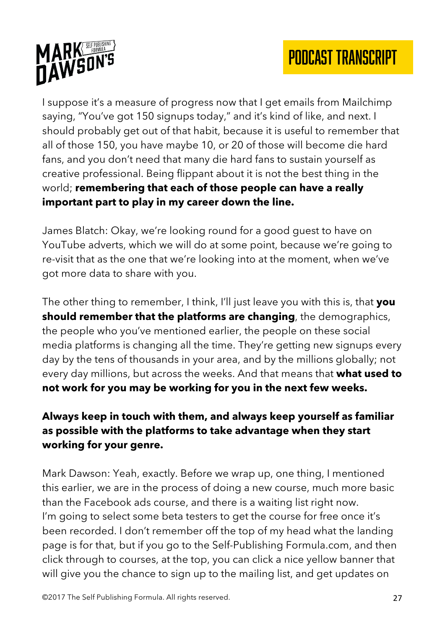

I suppose it's a measure of progress now that I get emails from Mailchimp saying, "You've got 150 signups today," and it's kind of like, and next. I should probably get out of that habit, because it is useful to remember that all of those 150, you have maybe 10, or 20 of those will become die hard fans, and you don't need that many die hard fans to sustain yourself as creative professional. Being flippant about it is not the best thing in the world; **remembering that each of those people can have a really important part to play in my career down the line.**

James Blatch: Okay, we're looking round for a good guest to have on YouTube adverts, which we will do at some point, because we're going to re-visit that as the one that we're looking into at the moment, when we've got more data to share with you.

The other thing to remember, I think, I'll just leave you with this is, that **you should remember that the platforms are changing**, the demographics, the people who you've mentioned earlier, the people on these social media platforms is changing all the time. They're getting new signups every day by the tens of thousands in your area, and by the millions globally; not every day millions, but across the weeks. And that means that **what used to not work for you may be working for you in the next few weeks.**

### **Always keep in touch with them, and always keep yourself as familiar as possible with the platforms to take advantage when they start working for your genre.**

Mark Dawson: Yeah, exactly. Before we wrap up, one thing, I mentioned this earlier, we are in the process of doing a new course, much more basic than the Facebook ads course, and there is a waiting list right now. I'm going to select some beta testers to get the course for free once it's been recorded. I don't remember off the top of my head what the landing page is for that, but if you go to the Self-Publishing Formula.com, and then click through to courses, at the top, you can click a nice yellow banner that will give you the chance to sign up to the mailing list, and get updates on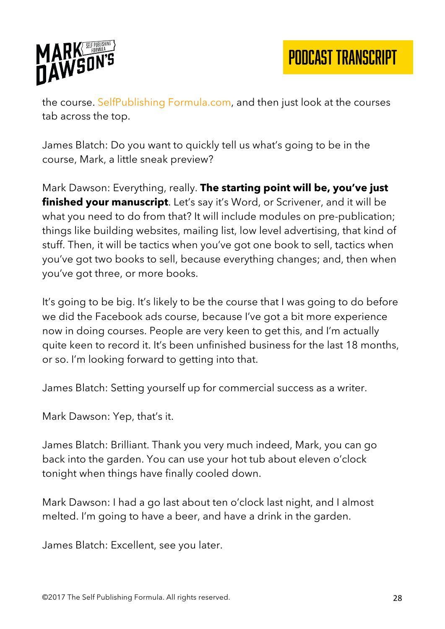

the course. SelfPublishing Formula.com, and then just look at the courses tab across the top.

James Blatch: Do you want to quickly tell us what's going to be in the course, Mark, a little sneak preview?

Mark Dawson: Everything, really. **The starting point will be, you've just finished your manuscript**. Let's say it's Word, or Scrivener, and it will be what you need to do from that? It will include modules on pre-publication; things like building websites, mailing list, low level advertising, that kind of stuff. Then, it will be tactics when you've got one book to sell, tactics when you've got two books to sell, because everything changes; and, then when you've got three, or more books.

It's going to be big. It's likely to be the course that I was going to do before we did the Facebook ads course, because I've got a bit more experience now in doing courses. People are very keen to get this, and I'm actually quite keen to record it. It's been unfinished business for the last 18 months, or so. I'm looking forward to getting into that.

James Blatch: Setting yourself up for commercial success as a writer.

Mark Dawson: Yep, that's it.

James Blatch: Brilliant. Thank you very much indeed, Mark, you can go back into the garden. You can use your hot tub about eleven o'clock tonight when things have finally cooled down.

Mark Dawson: I had a go last about ten o'clock last night, and I almost melted. I'm going to have a beer, and have a drink in the garden.

James Blatch: Excellent, see you later.